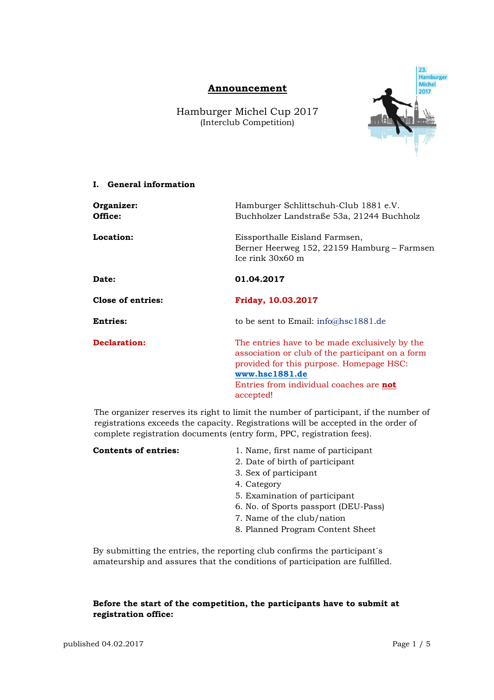# **Announcement**

Hamburger Michel Cup 2017 (Interclub Competition)



### **I. General information**

| Organizer:<br>Office: | Hamburger Schlittschuh-Club 1881 e.V.<br>Buchholzer Landstraße 53a, 21244 Buchholz                                                                                                                                       |  |  |
|-----------------------|--------------------------------------------------------------------------------------------------------------------------------------------------------------------------------------------------------------------------|--|--|
| Location:             | Eissporthalle Eisland Farmsen,<br>Berner Heerweg 152, 22159 Hamburg – Farmsen<br>Ice rink 30x60 m                                                                                                                        |  |  |
| Date:                 | 01.04.2017                                                                                                                                                                                                               |  |  |
| Close of entries:     | <b>Friday, 10.03.2017</b>                                                                                                                                                                                                |  |  |
| <b>Entries:</b>       | to be sent to Email: $info@hsc1881.de$                                                                                                                                                                                   |  |  |
| <b>Declaration:</b>   | The entries have to be made exclusively by the<br>association or club of the participant on a form<br>provided for this purpose. Homepage HSC:<br>www.hsc1881.de<br>Entries from individual coaches are not<br>accepted! |  |  |

The organizer reserves its right to limit the number of participant, if the number of registrations exceeds the capacity. Registrations will be accepted in the order of complete registration documents (entry form, PPC, registration fees).

| <b>Contents of entries:</b> | 1. Name, first name of participant   |
|-----------------------------|--------------------------------------|
|                             | 2. Date of birth of participant      |
|                             | 3. Sex of participant                |
|                             | 4. Category                          |
|                             | 5. Examination of participant        |
|                             | 6. No. of Sports passport (DEU-Pass) |
|                             | 7. Name of the club/nation           |

8. Planned Program Content Sheet

By submitting the entries, the reporting club confirms the participant´s amateurship and assures that the conditions of participation are fulfilled.

## **Before the start of the competition, the participants have to submit at registration office:**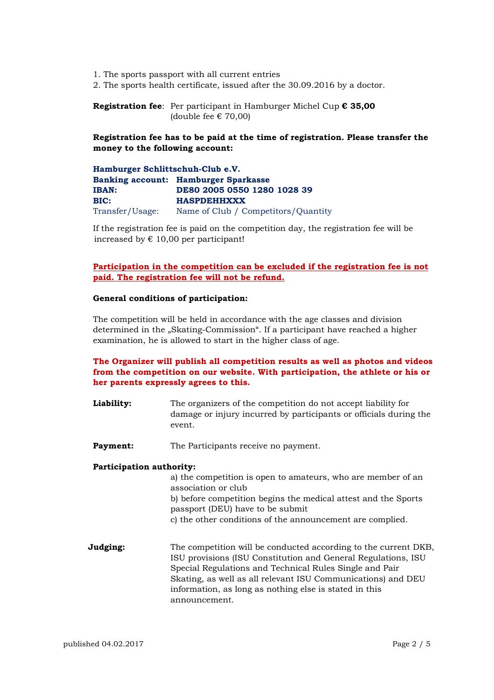- 1. The sports passport with all current entries
- 2. The sports health certificate, issued after the 30.09.2016 by a doctor.

**Registration fee**: Per participant in Hamburger Michel Cup **€ 35,00** (double fee  $\epsilon$  70,00)

**Registration fee has to be paid at the time of registration. Please transfer the money to the following account:** 

**Hamburger Schlittschuh-Club e.V. Banking account: Hamburger Sparkasse IBAN: DE80 2005 0550 1280 1028 39 BIC: HASPDEHHXXX**  Transfer/Usage: Name of Club / Competitors/Quantity

If the registration fee is paid on the competition day, the registration fee will be increased by  $\epsilon$  10,00 per participant!

### **Participation in the competition can be excluded if the registration fee is not paid. The registration fee will not be refund.**

#### **General conditions of participation:**

The competition will be held in accordance with the age classes and division determined in the "Skating-Commission". If a participant have reached a higher examination, he is allowed to start in the higher class of age.

## **The Organizer will publish all competition results as well as photos and videos from the competition on our website. With participation, the athlete or his or her parents expressly agrees to this.**

**Liability:** The organizers of the competition do not accept liability for damage or injury incurred by participants or officials during the event.

**Payment:** The Participants receive no payment.

#### **Participation authority:**

a) the competition is open to amateurs, who are member of an association or club b) before competition begins the medical attest and the Sports passport (DEU) have to be submit c) the other conditions of the announcement are complied.

**Judging:** The competition will be conducted according to the current DKB, ISU provisions (ISU Constitution and General Regulations, ISU Special Regulations and Technical Rules Single and Pair Skating, as well as all relevant ISU Communications) and DEU information, as long as nothing else is stated in this announcement.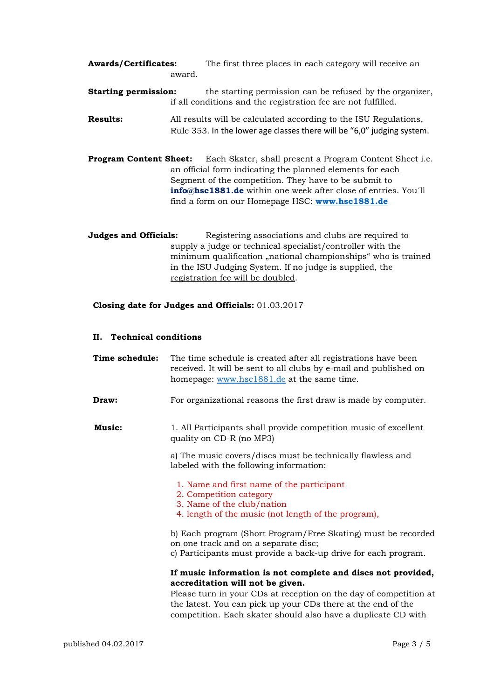| <b>Awards/Certificates:</b>                                   | The first three places in each category will receive an  |  |  |
|---------------------------------------------------------------|----------------------------------------------------------|--|--|
| award.                                                        |                                                          |  |  |
| <b>Starting permission:</b>                                   | the starting permission can be refused by the organizer. |  |  |
| if all conditions and the registration fee are not fulfilled. |                                                          |  |  |

- **Results:** All results will be calculated according to the ISU Regulations, Rule 353. In the lower age classes there will be "6,0" judging system.
- **Program Content Sheet:** Each Skater, shall present a Program Content Sheet i.e. an official form indicating the planned elements for each Segment of the competition. They have to be submit to **info@hsc1881.de** within one week after close of entries. You´ll find a form on our Homepage HSC: **www.hsc1881.de**

**Judges and Officials:** Registering associations and clubs are required to supply a judge or technical specialist/controller with the minimum qualification "national championships" who is trained in the ISU Judging System. If no judge is supplied, the registration fee will be doubled.

#### **Closing date for Judges and Officials:** 01.03.2017

### **II. Technical conditions**

| Time schedule: | The time schedule is created after all registrations have been<br>received. It will be sent to all clubs by e-mail and published on<br>homepage: www.hsc1881.de at the same time.                                                     |
|----------------|---------------------------------------------------------------------------------------------------------------------------------------------------------------------------------------------------------------------------------------|
| Draw:          | For organizational reasons the first draw is made by computer.                                                                                                                                                                        |
| <b>Music:</b>  | 1. All Participants shall provide competition music of excellent<br>quality on CD-R (no MP3)                                                                                                                                          |
|                | a) The music covers/discs must be technically flawless and<br>labeled with the following information:                                                                                                                                 |
|                | 1. Name and first name of the participant<br>2. Competition category<br>3. Name of the club/nation<br>4. length of the music (not length of the program),                                                                             |
|                | b) Each program (Short Program/Free Skating) must be recorded<br>on one track and on a separate disc;<br>c) Participants must provide a back-up drive for each program.                                                               |
|                | If music information is not complete and discs not provided,<br>accreditation will not be given.<br>Please turn in your CDs at reception on the day of competition at<br>the latest. You can pick up your CDs there at the end of the |
|                | competition. Each skater should also have a duplicate CD with                                                                                                                                                                         |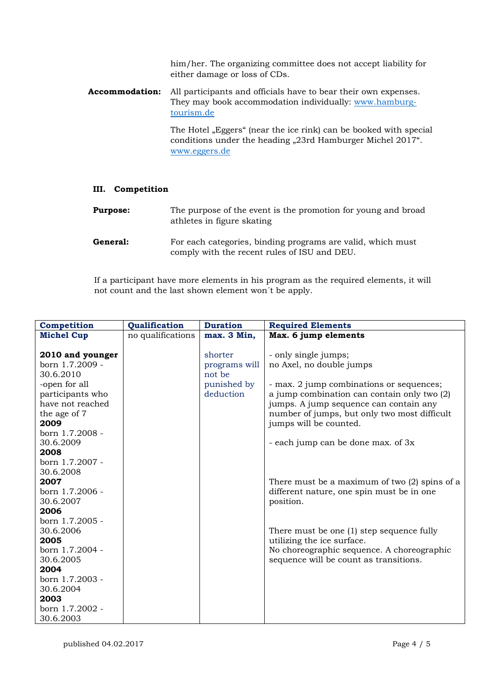him/her. The organizing committee does not accept liability for either damage or loss of CDs.

**Accommodation:** All participants and officials have to bear their own expenses. They may book accommodation individually: www.hamburgtourism.de

> The Hotel "Eggers" (near the ice rink) can be booked with special conditions under the heading "23rd Hamburger Michel 2017". www.eggers.de

### **III. Competition**

| <b>Purpose:</b> | The purpose of the event is the promotion for young and broad<br>athletes in figure skating                 |
|-----------------|-------------------------------------------------------------------------------------------------------------|
| General:        | For each categories, binding programs are valid, which must<br>comply with the recent rules of ISU and DEU. |

 If a participant have more elements in his program as the required elements, it will not count and the last shown element won´t be apply.

| Competition       | Qualification     | <b>Duration</b> | <b>Required Elements</b>                        |
|-------------------|-------------------|-----------------|-------------------------------------------------|
| <b>Michel Cup</b> | no qualifications | max. 3 Min,     | Max. 6 jump elements                            |
|                   |                   |                 |                                                 |
| 2010 and younger  |                   | shorter         | - only single jumps;                            |
| born 1.7.2009 -   |                   | programs will   | no Axel, no double jumps                        |
| 30.6.2010         |                   | not be          |                                                 |
| -open for all     |                   | punished by     | - max. 2 jump combinations or sequences;        |
| participants who  |                   | deduction       | a jump combination can contain only two (2)     |
| have not reached  |                   |                 | jumps. A jump sequence can contain any          |
| the age of 7      |                   |                 | number of jumps, but only two most difficult    |
| 2009              |                   |                 | jumps will be counted.                          |
| born 1.7.2008 -   |                   |                 |                                                 |
| 30.6.2009         |                   |                 | - each jump can be done max. of 3x              |
| 2008              |                   |                 |                                                 |
| born 1.7.2007 -   |                   |                 |                                                 |
| 30.6.2008         |                   |                 |                                                 |
| 2007              |                   |                 | There must be a maximum of two $(2)$ spins of a |
| born 1.7.2006 -   |                   |                 | different nature, one spin must be in one       |
| 30.6.2007         |                   |                 | position.                                       |
| 2006              |                   |                 |                                                 |
| born 1.7.2005 -   |                   |                 |                                                 |
| 30.6.2006         |                   |                 | There must be one (1) step sequence fully       |
| 2005              |                   |                 | utilizing the ice surface.                      |
| born 1.7.2004 -   |                   |                 | No choreographic sequence. A choreographic      |
| 30.6.2005         |                   |                 | sequence will be count as transitions.          |
| 2004              |                   |                 |                                                 |
| born 1.7.2003 -   |                   |                 |                                                 |
| 30.6.2004         |                   |                 |                                                 |
| 2003              |                   |                 |                                                 |
| born 1.7.2002 -   |                   |                 |                                                 |
| 30.6.2003         |                   |                 |                                                 |